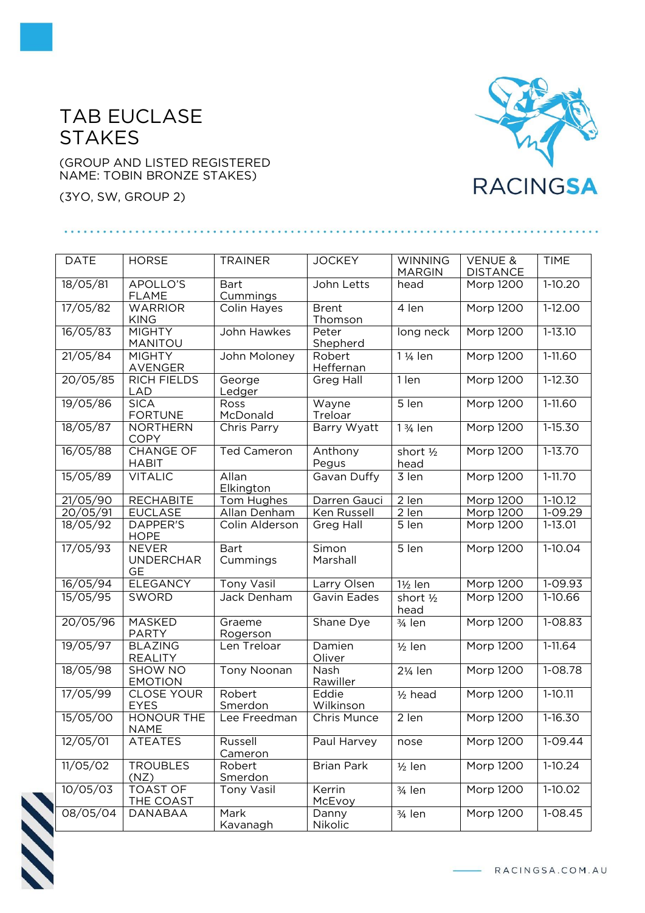## TAB EUCLASE STAKES

(GROUP AND LISTED REGISTERED NAME: TOBIN BRONZE STAKES)

(3YO, SW, GROUP 2)

## **RACINGSA**

| <b>DATE</b> | <b>HORSE</b>                           | <b>TRAINER</b>            | <b>JOCKEY</b>           | <b>WINNING</b><br><b>MARGIN</b> | <b>VENUE &amp;</b><br><b>DISTANCE</b> | <b>TIME</b> |
|-------------|----------------------------------------|---------------------------|-------------------------|---------------------------------|---------------------------------------|-------------|
| 18/05/81    | APOLLO'S<br><b>FLAME</b>               | Bart<br>Cummings          | John Letts              | head                            | Morp 1200                             | $1-10.20$   |
| 17/05/82    | <b>WARRIOR</b><br><b>KING</b>          | Colin Hayes               | <b>Brent</b><br>Thomson | 4 len                           | <b>Morp 1200</b>                      | $1-12.00$   |
| 16/05/83    | <b>MIGHTY</b><br>MANITOU               | John Hawkes               | Peter<br>Shepherd       | long neck                       | Morp 1200                             | $1 - 13.10$ |
| 21/05/84    | <b>MIGHTY</b><br><b>AVENGER</b>        | John Moloney              | Robert<br>Heffernan     | 1 1/ <sub>4</sub> len           | Morp 1200                             | $1-11.60$   |
| 20/05/85    | <b>RICH FIELDS</b><br>LAD              | George<br>Ledger          | <b>Greg Hall</b>        | 1 len                           | Morp 1200                             | $1-12.30$   |
| 19/05/86    | <b>SICA</b><br><b>FORTUNE</b>          | Ross<br>McDonald          | Wayne<br>Treloar        | 5 len                           | <b>Morp 1200</b>                      | $1-11.60$   |
| 18/05/87    | <b>NORTHERN</b><br><b>COPY</b>         | Chris Parry               | Barry Wyatt             | 1 3/ <sub>4</sub> len           | Morp 1200                             | $1-15.30$   |
| 16/05/88    | <b>CHANGE OF</b><br><b>HABIT</b>       | <b>Ted Cameron</b>        | Anthony<br>Pegus        | short 1/2<br>head               | Morp 1200                             | $1-13.70$   |
| 15/05/89    | <b>VITALIC</b>                         | Allan<br>Elkington        | Gavan Duffy             | 3 len                           | <b>Morp 1200</b>                      | $1-11.70$   |
| 21/05/90    | <b>RECHABITE</b>                       | Tom Hughes                | Darren Gauci            | 2 len                           | Morp 1200                             | $1 - 10.12$ |
| 20/05/91    | <b>EUCLASE</b>                         | Allan Denham              | Ken Russell             | 2 len                           | Morp 1200                             | 1-09.29     |
| 18/05/92    | <b>DAPPER'S</b><br><b>HOPE</b>         | Colin Alderson            | <b>Greg Hall</b>        | 5 len                           | <b>Morp 1200</b>                      | $1 - 13.01$ |
| 17/05/93    | <b>NEVER</b><br><b>UNDERCHAR</b><br>GE | <b>Bart</b><br>Cummings   | Simon<br>Marshall       | $\overline{5}$ len              | <b>Morp 1200</b>                      | $1-10.04$   |
| 16/05/94    | <b>ELEGANCY</b>                        | <b>Tony Vasil</b>         | Larry Olsen             | $1\frac{1}{2}$ len              | <b>Morp 1200</b>                      | $1 - 09.93$ |
| 15/05/95    | SWORD                                  | Jack Denham               | Gavin Eades             | short 1/2<br>head               | Morp 1200                             | 1-10.66     |
| 20/05/96    | <b>MASKED</b><br><b>PARTY</b>          | Graeme<br>Rogerson        | Shane Dye               | $3/4$ len                       | Morp 1200                             | 1-08.83     |
| 19/05/97    | <b>BLAZING</b><br><b>REALITY</b>       | Len Treloar               | Damien<br>Oliver        | $1/2$ len                       | <b>Morp 1200</b>                      | $1 - 11.64$ |
| 18/05/98    | <b>SHOW NO</b><br><b>EMOTION</b>       | <b>Tony Noonan</b>        | Nash<br>Rawiller        | 21/ <sub>4</sub> len            | <b>Morp 1200</b>                      | $1-08.78$   |
| 17/05/99    | <b>CLOSE YOUR</b><br><b>EYES</b>       | Robert<br>Smerdon         | Eddie<br>Wilkinson      | $1/2$ head                      | <b>Morp 1200</b>                      | $1 - 10.11$ |
| 15/05/00    | <b>HONOUR THE</b><br><b>NAME</b>       | Lee Freedman              | Chris Munce             | $2$ len                         | <b>Morp 1200</b>                      | $1-16.30$   |
| 12/05/01    | <b>ATEATES</b>                         | Russell<br><b>Cameron</b> | Paul Harvey             | nose                            | <b>Morp 1200</b>                      | 1-09.44     |
| 11/05/02    | <b>TROUBLES</b><br>(NZ)                | Robert<br>Smerdon         | <b>Brian Park</b>       | $1/2$ len                       | Morp 1200                             | $1-10.24$   |
| 10/05/03    | <b>TOAST OF</b><br><b>THE COAST</b>    | <b>Tony Vasil</b>         | Kerrin<br>McEvoy        | 3/ <sub>4</sub> len             | <b>Morp 1200</b>                      | $1-10.02$   |
| 08/05/04    | DANABAA                                | Mark<br>Kavanagh          | Danny<br>Nikolic        | $3/4$ len                       | <b>Morp 1200</b>                      | 1-08.45     |